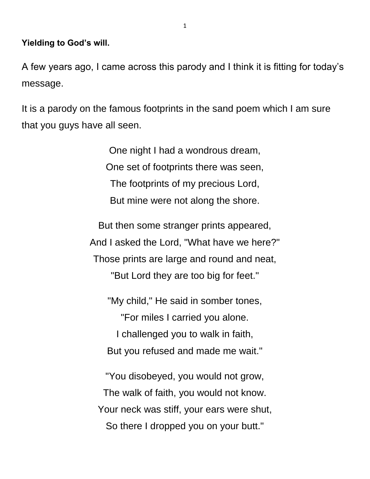**Yielding to God's will.**

A few years ago, I came across this parody and I think it is fitting for today's message.

It is a parody on the famous footprints in the sand poem which I am sure that you guys have all seen.

> One night I had a wondrous dream, One set of footprints there was seen, The footprints of my precious Lord, But mine were not along the shore.

But then some stranger prints appeared, And I asked the Lord, "What have we here?" Those prints are large and round and neat, "But Lord they are too big for feet."

"My child," He said in somber tones, "For miles I carried you alone. I challenged you to walk in faith, But you refused and made me wait."

"You disobeyed, you would not grow, The walk of faith, you would not know. Your neck was stiff, your ears were shut, So there I dropped you on your butt."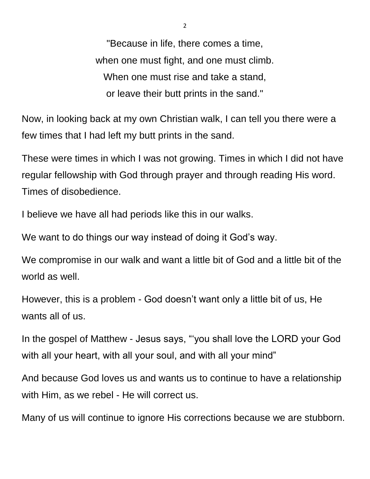"Because in life, there comes a time, when one must fight, and one must climb. When one must rise and take a stand, or leave their butt prints in the sand."

Now, in looking back at my own Christian walk, I can tell you there were a few times that I had left my butt prints in the sand.

These were times in which I was not growing. Times in which I did not have regular fellowship with God through prayer and through reading His word. Times of disobedience.

I believe we have all had periods like this in our walks.

We want to do things our way instead of doing it God's way.

We compromise in our walk and want a little bit of God and a little bit of the world as well.

However, this is a problem - God doesn't want only a little bit of us, He wants all of us.

In the gospel of Matthew - Jesus says, "'you shall love the LORD your God with all your heart, with all your soul, and with all your mind"

And because God loves us and wants us to continue to have a relationship with Him, as we rebel - He will correct us.

Many of us will continue to ignore His corrections because we are stubborn.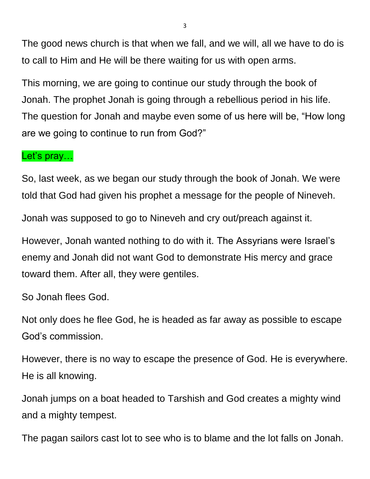The good news church is that when we fall, and we will, all we have to do is to call to Him and He will be there waiting for us with open arms.

This morning, we are going to continue our study through the book of Jonah. The prophet Jonah is going through a rebellious period in his life. The question for Jonah and maybe even some of us here will be, "How long are we going to continue to run from God?"

#### Let's pray...

So, last week, as we began our study through the book of Jonah. We were told that God had given his prophet a message for the people of Nineveh.

Jonah was supposed to go to Nineveh and cry out/preach against it.

However, Jonah wanted nothing to do with it. The Assyrians were Israel's enemy and Jonah did not want God to demonstrate His mercy and grace toward them. After all, they were gentiles.

So Jonah flees God.

Not only does he flee God, he is headed as far away as possible to escape God's commission.

However, there is no way to escape the presence of God. He is everywhere. He is all knowing.

Jonah jumps on a boat headed to Tarshish and God creates a mighty wind and a mighty tempest.

The pagan sailors cast lot to see who is to blame and the lot falls on Jonah.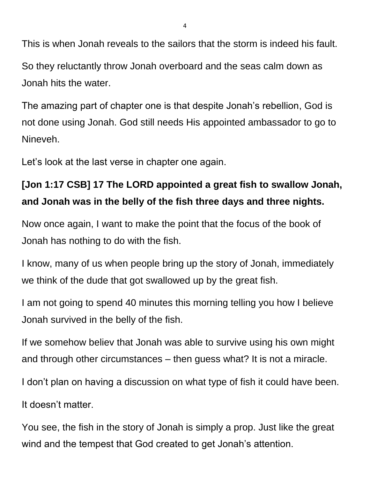This is when Jonah reveals to the sailors that the storm is indeed his fault. So they reluctantly throw Jonah overboard and the seas calm down as

Jonah hits the water.

The amazing part of chapter one is that despite Jonah's rebellion, God is not done using Jonah. God still needs His appointed ambassador to go to Nineveh.

Let's look at the last verse in chapter one again.

# **[Jon 1:17 CSB] 17 The LORD appointed a great fish to swallow Jonah, and Jonah was in the belly of the fish three days and three nights.**

Now once again, I want to make the point that the focus of the book of Jonah has nothing to do with the fish.

I know, many of us when people bring up the story of Jonah, immediately we think of the dude that got swallowed up by the great fish.

I am not going to spend 40 minutes this morning telling you how I believe Jonah survived in the belly of the fish.

If we somehow believ that Jonah was able to survive using his own might and through other circumstances – then guess what? It is not a miracle.

I don't plan on having a discussion on what type of fish it could have been.

It doesn't matter.

You see, the fish in the story of Jonah is simply a prop. Just like the great wind and the tempest that God created to get Jonah's attention.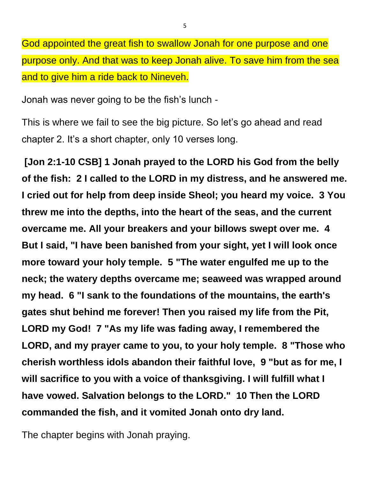God appointed the great fish to swallow Jonah for one purpose and one purpose only. And that was to keep Jonah alive. To save him from the sea and to give him a ride back to Nineveh.

Jonah was never going to be the fish's lunch -

This is where we fail to see the big picture. So let's go ahead and read chapter 2. It's a short chapter, only 10 verses long.

**[Jon 2:1-10 CSB] 1 Jonah prayed to the LORD his God from the belly of the fish: 2 I called to the LORD in my distress, and he answered me. I cried out for help from deep inside Sheol; you heard my voice. 3 You threw me into the depths, into the heart of the seas, and the current overcame me. All your breakers and your billows swept over me. 4 But I said, "I have been banished from your sight, yet I will look once more toward your holy temple. 5 "The water engulfed me up to the neck; the watery depths overcame me; seaweed was wrapped around my head. 6 "I sank to the foundations of the mountains, the earth's gates shut behind me forever! Then you raised my life from the Pit, LORD my God! 7 "As my life was fading away, I remembered the LORD, and my prayer came to you, to your holy temple. 8 "Those who cherish worthless idols abandon their faithful love, 9 "but as for me, I will sacrifice to you with a voice of thanksgiving. I will fulfill what I have vowed. Salvation belongs to the LORD." 10 Then the LORD commanded the fish, and it vomited Jonah onto dry land.**

The chapter begins with Jonah praying.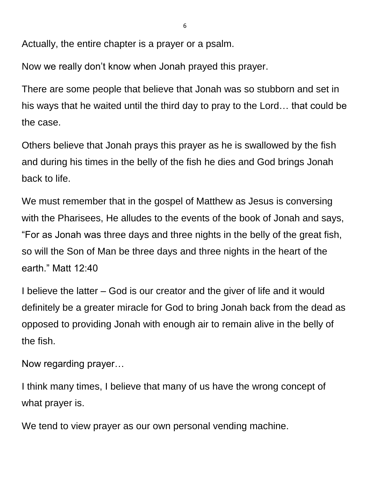Actually, the entire chapter is a prayer or a psalm.

Now we really don't know when Jonah prayed this prayer.

There are some people that believe that Jonah was so stubborn and set in his ways that he waited until the third day to pray to the Lord… that could be the case.

Others believe that Jonah prays this prayer as he is swallowed by the fish and during his times in the belly of the fish he dies and God brings Jonah back to life.

We must remember that in the gospel of Matthew as Jesus is conversing with the Pharisees, He alludes to the events of the book of Jonah and says, "For as Jonah was three days and three nights in the belly of the great fish, so will the Son of Man be three days and three nights in the heart of the earth." Matt 12:40

I believe the latter – God is our creator and the giver of life and it would definitely be a greater miracle for God to bring Jonah back from the dead as opposed to providing Jonah with enough air to remain alive in the belly of the fish.

Now regarding prayer…

I think many times, I believe that many of us have the wrong concept of what prayer is.

We tend to view prayer as our own personal vending machine.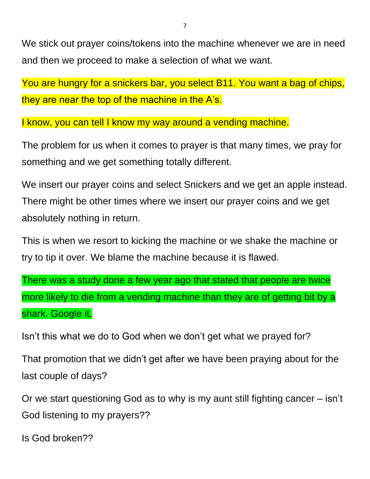We stick out prayer coins/tokens into the machine whenever we are in need and then we proceed to make a selection of what we want.

You are hungry for a snickers bar, you select B11. You want a bag of chips, they are near the top of the machine in the A's.

I know, you can tell I know my way around a vending machine.

The problem for us when it comes to prayer is that many times, we pray for something and we get something totally different.

We insert our prayer coins and select Snickers and we get an apple instead. There might be other times where we insert our prayer coins and we get absolutely nothing in return.

This is when we resort to kicking the machine or we shake the machine or try to tip it over. We blame the machine because it is flawed.

There was a study done a few year ago that stated that people are twice more likely to die from a vending machine than they are of getting bit by a shark. Google it.

Isn't this what we do to God when we don't get what we prayed for?

That promotion that we didn't get after we have been praying about for the last couple of days?

Or we start questioning God as to why is my aunt still fighting cancer – isn't God listening to my prayers??

Is God broken??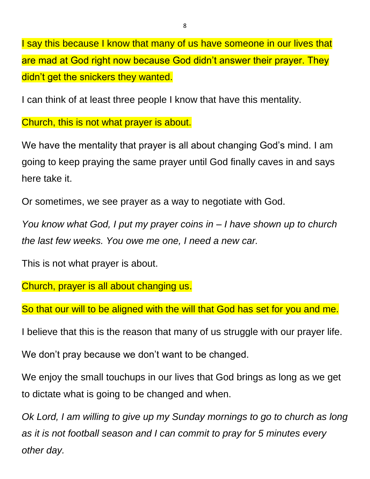I say this because I know that many of us have someone in our lives that are mad at God right now because God didn't answer their prayer. They didn't get the snickers they wanted.

I can think of at least three people I know that have this mentality.

Church, this is not what prayer is about.

We have the mentality that prayer is all about changing God's mind. I am going to keep praying the same prayer until God finally caves in and says here take it.

Or sometimes, we see prayer as a way to negotiate with God.

*You know what God, I put my prayer coins in – I have shown up to church the last few weeks. You owe me one, I need a new car.*

This is not what prayer is about.

Church, prayer is all about changing us.

So that our will to be aligned with the will that God has set for you and me.

I believe that this is the reason that many of us struggle with our prayer life.

We don't pray because we don't want to be changed.

We enjoy the small touchups in our lives that God brings as long as we get to dictate what is going to be changed and when.

*Ok Lord, I am willing to give up my Sunday mornings to go to church as long as it is not football season and I can commit to pray for 5 minutes every other day.*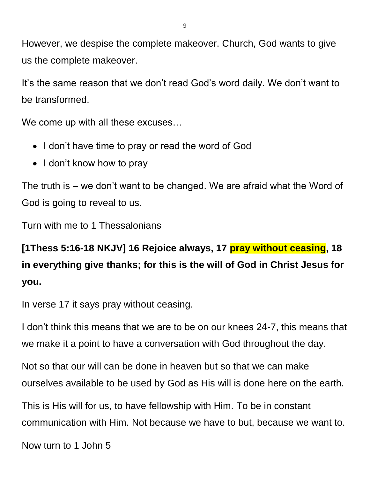However, we despise the complete makeover. Church, God wants to give us the complete makeover.

It's the same reason that we don't read God's word daily. We don't want to be transformed.

We come up with all these excuses…

- I don't have time to pray or read the word of God
- I don't know how to pray

The truth is – we don't want to be changed. We are afraid what the Word of God is going to reveal to us.

Turn with me to 1 Thessalonians

**[1Thess 5:16-18 NKJV] 16 Rejoice always, 17 pray without ceasing, 18 in everything give thanks; for this is the will of God in Christ Jesus for you.**

In verse 17 it says pray without ceasing.

I don't think this means that we are to be on our knees 24-7, this means that we make it a point to have a conversation with God throughout the day.

Not so that our will can be done in heaven but so that we can make ourselves available to be used by God as His will is done here on the earth.

This is His will for us, to have fellowship with Him. To be in constant communication with Him. Not because we have to but, because we want to.

Now turn to 1 John 5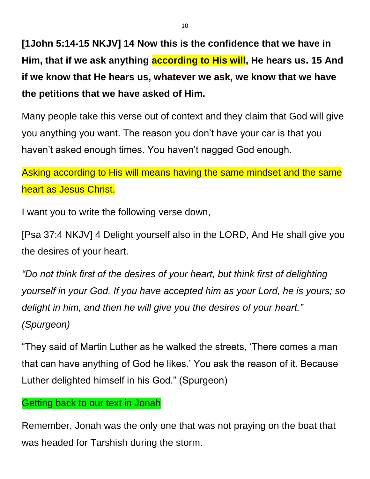**[1John 5:14-15 NKJV] 14 Now this is the confidence that we have in Him, that if we ask anything according to His will, He hears us. 15 And if we know that He hears us, whatever we ask, we know that we have the petitions that we have asked of Him.**

Many people take this verse out of context and they claim that God will give you anything you want. The reason you don't have your car is that you haven't asked enough times. You haven't nagged God enough.

Asking according to His will means having the same mindset and the same heart as Jesus Christ.

I want you to write the following verse down,

[Psa 37:4 NKJV] 4 Delight yourself also in the LORD, And He shall give you the desires of your heart.

*"Do not think first of the desires of your heart, but think first of delighting yourself in your God. If you have accepted him as your Lord, he is yours; so delight in him, and then he will give you the desires of your heart." (Spurgeon)*

"They said of Martin Luther as he walked the streets, 'There comes a man that can have anything of God he likes.' You ask the reason of it. Because Luther delighted himself in his God." (Spurgeon)

#### Getting back to our text in Jonah

Remember, Jonah was the only one that was not praying on the boat that was headed for Tarshish during the storm.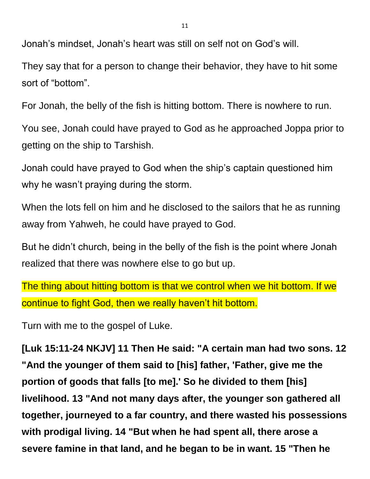Jonah's mindset, Jonah's heart was still on self not on God's will.

They say that for a person to change their behavior, they have to hit some sort of "bottom".

For Jonah, the belly of the fish is hitting bottom. There is nowhere to run.

You see, Jonah could have prayed to God as he approached Joppa prior to getting on the ship to Tarshish.

Jonah could have prayed to God when the ship's captain questioned him why he wasn't praying during the storm.

When the lots fell on him and he disclosed to the sailors that he as running away from Yahweh, he could have prayed to God.

But he didn't church, being in the belly of the fish is the point where Jonah realized that there was nowhere else to go but up.

The thing about hitting bottom is that we control when we hit bottom. If we continue to fight God, then we really haven't hit bottom.

Turn with me to the gospel of Luke.

**[Luk 15:11-24 NKJV] 11 Then He said: "A certain man had two sons. 12 "And the younger of them said to [his] father, 'Father, give me the portion of goods that falls [to me].' So he divided to them [his] livelihood. 13 "And not many days after, the younger son gathered all together, journeyed to a far country, and there wasted his possessions with prodigal living. 14 "But when he had spent all, there arose a severe famine in that land, and he began to be in want. 15 "Then he**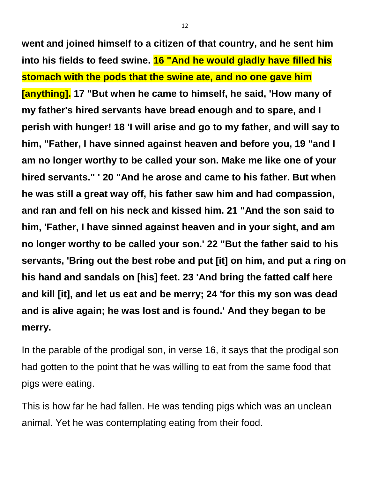**went and joined himself to a citizen of that country, and he sent him into his fields to feed swine. 16 "And he would gladly have filled his stomach with the pods that the swine ate, and no one gave him [anything]. 17 "But when he came to himself, he said, 'How many of my father's hired servants have bread enough and to spare, and I perish with hunger! 18 'I will arise and go to my father, and will say to him, "Father, I have sinned against heaven and before you, 19 "and I am no longer worthy to be called your son. Make me like one of your hired servants." ' 20 "And he arose and came to his father. But when he was still a great way off, his father saw him and had compassion, and ran and fell on his neck and kissed him. 21 "And the son said to him, 'Father, I have sinned against heaven and in your sight, and am no longer worthy to be called your son.' 22 "But the father said to his servants, 'Bring out the best robe and put [it] on him, and put a ring on his hand and sandals on [his] feet. 23 'And bring the fatted calf here and kill [it], and let us eat and be merry; 24 'for this my son was dead and is alive again; he was lost and is found.' And they began to be merry.**

In the parable of the prodigal son, in verse 16, it says that the prodigal son had gotten to the point that he was willing to eat from the same food that pigs were eating.

This is how far he had fallen. He was tending pigs which was an unclean animal. Yet he was contemplating eating from their food.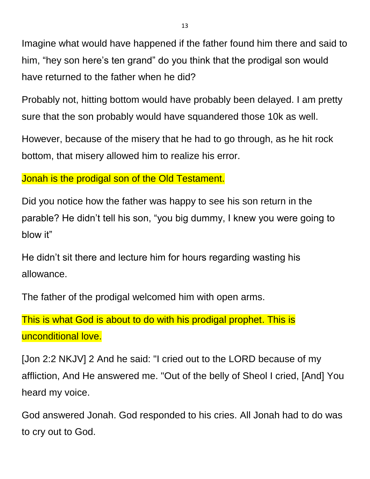Imagine what would have happened if the father found him there and said to him, "hey son here's ten grand" do you think that the prodigal son would have returned to the father when he did?

Probably not, hitting bottom would have probably been delayed. I am pretty sure that the son probably would have squandered those 10k as well.

However, because of the misery that he had to go through, as he hit rock bottom, that misery allowed him to realize his error.

Jonah is the prodigal son of the Old Testament.

Did you notice how the father was happy to see his son return in the parable? He didn't tell his son, "you big dummy, I knew you were going to blow it"

He didn't sit there and lecture him for hours regarding wasting his allowance.

The father of the prodigal welcomed him with open arms.

This is what God is about to do with his prodigal prophet. This is unconditional love.

[Jon 2:2 NKJV] 2 And he said: "I cried out to the LORD because of my affliction, And He answered me. "Out of the belly of Sheol I cried, [And] You heard my voice.

God answered Jonah. God responded to his cries. All Jonah had to do was to cry out to God.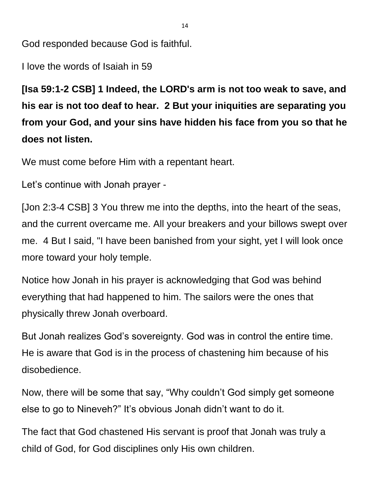God responded because God is faithful.

I love the words of Isaiah in 59

**[Isa 59:1-2 CSB] 1 Indeed, the LORD's arm is not too weak to save, and his ear is not too deaf to hear. 2 But your iniquities are separating you from your God, and your sins have hidden his face from you so that he does not listen.**

We must come before Him with a repentant heart.

Let's continue with Jonah prayer -

[Jon 2:3-4 CSB] 3 You threw me into the depths, into the heart of the seas, and the current overcame me. All your breakers and your billows swept over me. 4 But I said, "I have been banished from your sight, yet I will look once more toward your holy temple.

Notice how Jonah in his prayer is acknowledging that God was behind everything that had happened to him. The sailors were the ones that physically threw Jonah overboard.

But Jonah realizes God's sovereignty. God was in control the entire time. He is aware that God is in the process of chastening him because of his disobedience.

Now, there will be some that say, "Why couldn't God simply get someone else to go to Nineveh?" It's obvious Jonah didn't want to do it.

The fact that God chastened His servant is proof that Jonah was truly a child of God, for God disciplines only His own children.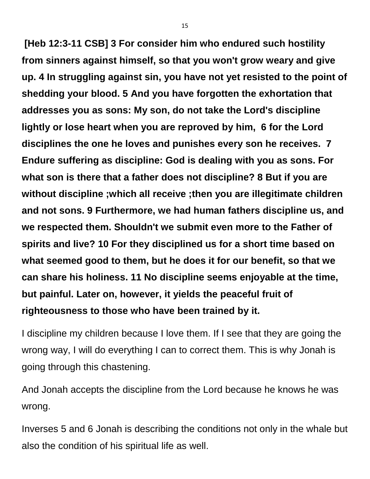**[Heb 12:3-11 CSB] 3 For consider him who endured such hostility from sinners against himself, so that you won't grow weary and give up. 4 In struggling against sin, you have not yet resisted to the point of shedding your blood. 5 And you have forgotten the exhortation that addresses you as sons: My son, do not take the Lord's discipline lightly or lose heart when you are reproved by him, 6 for the Lord disciplines the one he loves and punishes every son he receives. 7 Endure suffering as discipline: God is dealing with you as sons. For what son is there that a father does not discipline? 8 But if you are without discipline ;which all receive ;then you are illegitimate children and not sons. 9 Furthermore, we had human fathers discipline us, and we respected them. Shouldn't we submit even more to the Father of spirits and live? 10 For they disciplined us for a short time based on what seemed good to them, but he does it for our benefit, so that we can share his holiness. 11 No discipline seems enjoyable at the time, but painful. Later on, however, it yields the peaceful fruit of righteousness to those who have been trained by it.**

I discipline my children because I love them. If I see that they are going the wrong way, I will do everything I can to correct them. This is why Jonah is going through this chastening.

And Jonah accepts the discipline from the Lord because he knows he was wrong.

Inverses 5 and 6 Jonah is describing the conditions not only in the whale but also the condition of his spiritual life as well.

15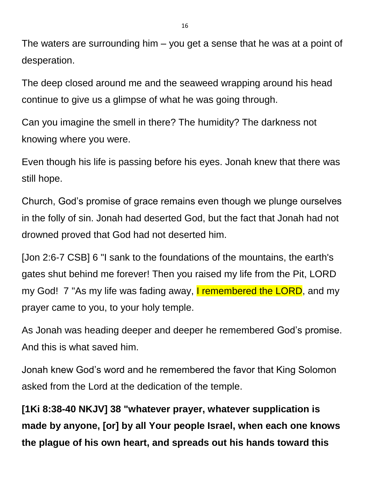The waters are surrounding him – you get a sense that he was at a point of desperation.

The deep closed around me and the seaweed wrapping around his head continue to give us a glimpse of what he was going through.

Can you imagine the smell in there? The humidity? The darkness not knowing where you were.

Even though his life is passing before his eyes. Jonah knew that there was still hope.

Church, God's promise of grace remains even though we plunge ourselves in the folly of sin. Jonah had deserted God, but the fact that Jonah had not drowned proved that God had not deserted him.

[Jon 2:6-7 CSB] 6 "I sank to the foundations of the mountains, the earth's gates shut behind me forever! Then you raised my life from the Pit, LORD my God! 7 "As my life was fading away, I remembered the LORD, and my prayer came to you, to your holy temple.

As Jonah was heading deeper and deeper he remembered God's promise. And this is what saved him.

Jonah knew God's word and he remembered the favor that King Solomon asked from the Lord at the dedication of the temple.

**[1Ki 8:38-40 NKJV] 38 "whatever prayer, whatever supplication is made by anyone, [or] by all Your people Israel, when each one knows the plague of his own heart, and spreads out his hands toward this**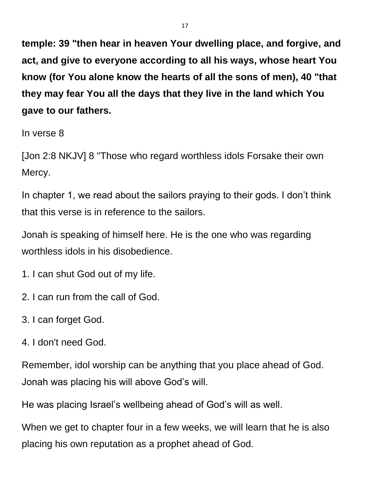**temple: 39 "then hear in heaven Your dwelling place, and forgive, and act, and give to everyone according to all his ways, whose heart You know (for You alone know the hearts of all the sons of men), 40 "that they may fear You all the days that they live in the land which You gave to our fathers.**

In verse 8

[Jon 2:8 NKJV] 8 "Those who regard worthless idols Forsake their own Mercy.

In chapter 1, we read about the sailors praying to their gods. I don't think that this verse is in reference to the sailors.

Jonah is speaking of himself here. He is the one who was regarding worthless idols in his disobedience.

- 1. I can shut God out of my life.
- 2. I can run from the call of God.
- 3. I can forget God.
- 4. I don't need God.

Remember, idol worship can be anything that you place ahead of God. Jonah was placing his will above God's will.

He was placing Israel's wellbeing ahead of God's will as well.

When we get to chapter four in a few weeks, we will learn that he is also placing his own reputation as a prophet ahead of God.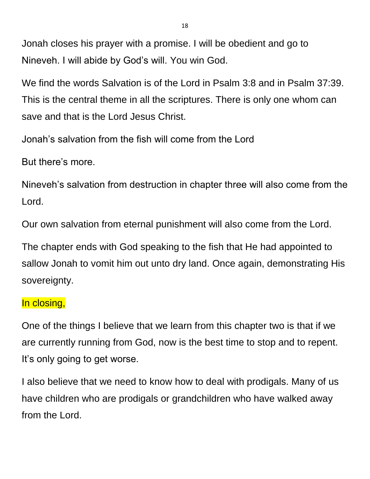Jonah closes his prayer with a promise. I will be obedient and go to Nineveh. I will abide by God's will. You win God.

We find the words Salvation is of the Lord in Psalm 3:8 and in Psalm 37:39. This is the central theme in all the scriptures. There is only one whom can save and that is the Lord Jesus Christ.

Jonah's salvation from the fish will come from the Lord

But there's more.

Nineveh's salvation from destruction in chapter three will also come from the Lord.

Our own salvation from eternal punishment will also come from the Lord.

The chapter ends with God speaking to the fish that He had appointed to sallow Jonah to vomit him out unto dry land. Once again, demonstrating His sovereignty.

### In closing,

One of the things I believe that we learn from this chapter two is that if we are currently running from God, now is the best time to stop and to repent. It's only going to get worse.

I also believe that we need to know how to deal with prodigals. Many of us have children who are prodigals or grandchildren who have walked away from the Lord.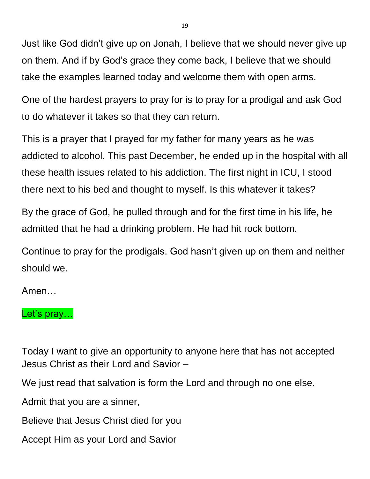Just like God didn't give up on Jonah, I believe that we should never give up on them. And if by God's grace they come back, I believe that we should take the examples learned today and welcome them with open arms.

One of the hardest prayers to pray for is to pray for a prodigal and ask God to do whatever it takes so that they can return.

This is a prayer that I prayed for my father for many years as he was addicted to alcohol. This past December, he ended up in the hospital with all these health issues related to his addiction. The first night in ICU, I stood there next to his bed and thought to myself. Is this whatever it takes?

By the grace of God, he pulled through and for the first time in his life, he admitted that he had a drinking problem. He had hit rock bottom.

Continue to pray for the prodigals. God hasn't given up on them and neither should we.

Amen…

## Let's pray...

Today I want to give an opportunity to anyone here that has not accepted Jesus Christ as their Lord and Savior –

We just read that salvation is form the Lord and through no one else.

Admit that you are a sinner,

Believe that Jesus Christ died for you

Accept Him as your Lord and Savior